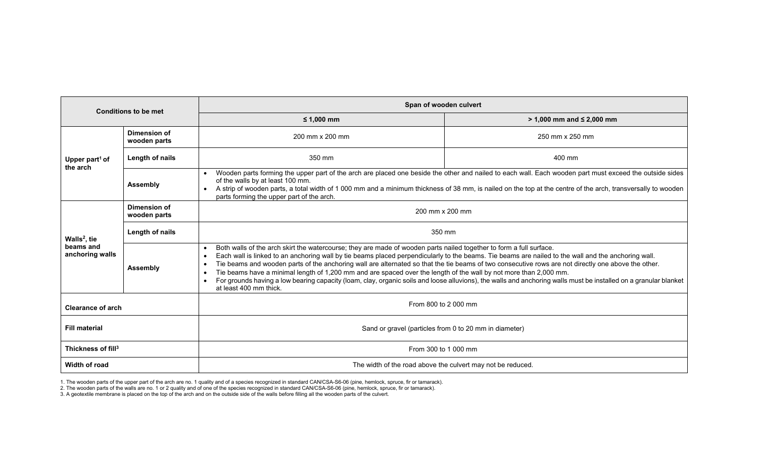| <b>Conditions to be met</b>                              |                              | Span of wooden culvert                                                                                                                                                                                                                                                                                                                                                                                                                                                                                                                                                                                                                                                                                                                                            |                                  |
|----------------------------------------------------------|------------------------------|-------------------------------------------------------------------------------------------------------------------------------------------------------------------------------------------------------------------------------------------------------------------------------------------------------------------------------------------------------------------------------------------------------------------------------------------------------------------------------------------------------------------------------------------------------------------------------------------------------------------------------------------------------------------------------------------------------------------------------------------------------------------|----------------------------------|
|                                                          |                              | $≤ 1,000$ mm                                                                                                                                                                                                                                                                                                                                                                                                                                                                                                                                                                                                                                                                                                                                                      | $> 1,000$ mm and $\leq 2,000$ mm |
| Upper part <sup>1</sup> of<br>the arch                   | Dimension of<br>wooden parts | 200 mm x 200 mm                                                                                                                                                                                                                                                                                                                                                                                                                                                                                                                                                                                                                                                                                                                                                   | 250 mm x 250 mm                  |
|                                                          | Length of nails              | 350 mm                                                                                                                                                                                                                                                                                                                                                                                                                                                                                                                                                                                                                                                                                                                                                            | 400 mm                           |
|                                                          | <b>Assembly</b>              | Wooden parts forming the upper part of the arch are placed one beside the other and nailed to each wall. Each wooden part must exceed the outside sides<br>of the walls by at least 100 mm.<br>A strip of wooden parts, a total width of 1000 mm and a minimum thickness of 38 mm, is nailed on the top at the centre of the arch, transversally to wooden<br>parts forming the upper part of the arch.                                                                                                                                                                                                                                                                                                                                                           |                                  |
| Walls <sup>2</sup> , tie<br>beams and<br>anchoring walls | Dimension of<br>wooden parts | 200 mm x 200 mm                                                                                                                                                                                                                                                                                                                                                                                                                                                                                                                                                                                                                                                                                                                                                   |                                  |
|                                                          | Length of nails              | 350 mm                                                                                                                                                                                                                                                                                                                                                                                                                                                                                                                                                                                                                                                                                                                                                            |                                  |
|                                                          | <b>Assembly</b>              | Both walls of the arch skirt the watercourse; they are made of wooden parts nailed together to form a full surface.<br>Each wall is linked to an anchoring wall by tie beams placed perpendicularly to the beams. Tie beams are nailed to the wall and the anchoring wall.<br>$\bullet$<br>Tie beams and wooden parts of the anchoring wall are alternated so that the tie beams of two consecutive rows are not directly one above the other.<br>Tie beams have a minimal length of 1,200 mm and are spaced over the length of the wall by not more than 2,000 mm.<br>For grounds having a low bearing capacity (loam, clay, organic soils and loose alluvions), the walls and anchoring walls must be installed on a granular blanket<br>at least 400 mm thick. |                                  |
| <b>Clearance of arch</b>                                 |                              | From 800 to 2 000 mm                                                                                                                                                                                                                                                                                                                                                                                                                                                                                                                                                                                                                                                                                                                                              |                                  |
| <b>Fill material</b>                                     |                              | Sand or gravel (particles from 0 to 20 mm in diameter)                                                                                                                                                                                                                                                                                                                                                                                                                                                                                                                                                                                                                                                                                                            |                                  |
| Thickness of fill <sup>3</sup>                           |                              | From 300 to 1 000 mm                                                                                                                                                                                                                                                                                                                                                                                                                                                                                                                                                                                                                                                                                                                                              |                                  |
| Width of road                                            |                              | The width of the road above the culvert may not be reduced.                                                                                                                                                                                                                                                                                                                                                                                                                                                                                                                                                                                                                                                                                                       |                                  |

1. The wooden parts of the upper part of the arch are no. 1 quality and of a species recognized in standard CAN/CSA-S6-06 (pine, hemlock, spruce, fir or tamarack).

2. The wooden parts of the walls are no. 1 or 2 quality and of one of the species recognized in standard CAN/CSA-S6-06 (pine, hemlock, spruce, fir or tamarack).

3. A geotextile membrane is placed on the top of the arch and on the outside side of the walls before filling all the wooden parts of the culvert.